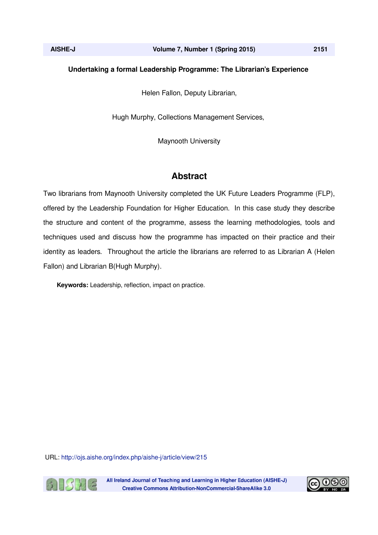# **Undertaking a formal Leadership Programme: The Librarian's Experience**

Helen Fallon, Deputy Librarian,

Hugh Murphy, Collections Management Services,

Maynooth University

# **Abstract**

Two librarians from Maynooth University completed the UK Future Leaders Programme (FLP), offered by the Leadership Foundation for Higher Education. In this case study they describe the structure and content of the programme, assess the learning methodologies, tools and techniques used and discuss how the programme has impacted on their practice and their identity as leaders. Throughout the article the librarians are referred to as Librarian A (Helen Fallon) and Librarian B(Hugh Murphy).

**Keywords:** Leadership, reflection, impact on practice.

URL: http://ojs.aishe.org/index.php/aishe-j/article/view/215



All Ireland Journal of Teaching and Learning in Higher Education (AISHE-J) **Creative Commons Attribution-NonCommercial-ShareAlike 3.0** 

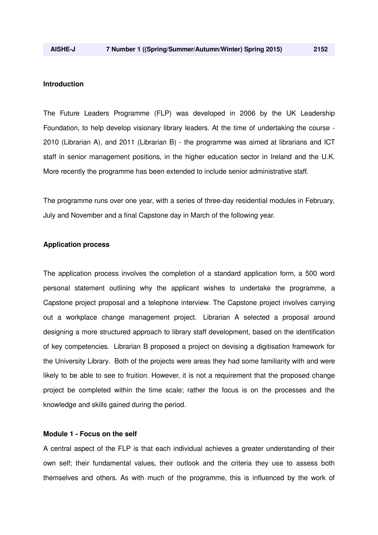#### **Introduction**

The Future Leaders Programme (FLP) was developed in 2006 by the UK Leadership Foundation, to help develop visionary library leaders. At the time of undertaking the course - 2010 (Librarian A), and 2011 (Librarian B) - the programme was aimed at librarians and ICT staff in senior management positions, in the higher education sector in Ireland and the U.K. More recently the programme has been extended to include senior administrative staff.

The programme runs over one year, with a series of three-day residential modules in February, July and November and a final Capstone day in March of the following year.

#### **Application process**

The application process involves the completion of a standard application form, a 500 word personal statement outlining why the applicant wishes to undertake the programme, a Capstone project proposal and a telephone interview. The Capstone project involves carrying out a workplace change management project. Librarian A selected a proposal around designing a more structured approach to library staff development, based on the identification of key competencies. Librarian B proposed a project on devising a digitisation framework for the University Library. Both of the projects were areas they had some familiarity with and were likely to be able to see to fruition. However, it is not a requirement that the proposed change project be completed within the time scale; rather the focus is on the processes and the knowledge and skills gained during the period.

# **Module 1 - Focus on the self**

A central aspect of the FLP is that each individual achieves a greater understanding of their own self; their fundamental values, their outlook and the criteria they use to assess both themselves and others. As with much of the programme, this is influenced by the work of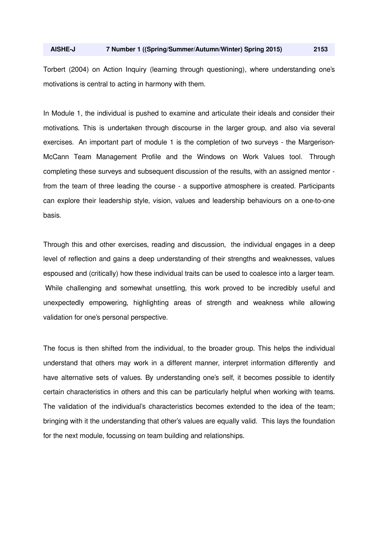Torbert (2004) on Action Inquiry (learning through questioning), where understanding one's motivations is central to acting in harmony with them.

In Module 1, the individual is pushed to examine and articulate their ideals and consider their motivations. This is undertaken through discourse in the larger group, and also via several exercises. An important part of module 1 is the completion of two surveys - the Margerison-McCann Team Management Profile and the Windows on Work Values tool. Through completing these surveys and subsequent discussion of the results, with an assigned mentor from the team of three leading the course - a supportive atmosphere is created. Participants can explore their leadership style, vision, values and leadership behaviours on a one-to-one basis.

Through this and other exercises, reading and discussion, the individual engages in a deep level of reflection and gains a deep understanding of their strengths and weaknesses, values espoused and (critically) how these individual traits can be used to coalesce into a larger team. While challenging and somewhat unsettling, this work proved to be incredibly useful and unexpectedly empowering, highlighting areas of strength and weakness while allowing validation for one's personal perspective.

The focus is then shifted from the individual, to the broader group. This helps the individual understand that others may work in a different manner, interpret information differently and have alternative sets of values. By understanding one's self, it becomes possible to identify certain characteristics in others and this can be particularly helpful when working with teams. The validation of the individual's characteristics becomes extended to the idea of the team; bringing with it the understanding that other's values are equally valid. This lays the foundation for the next module, focussing on team building and relationships.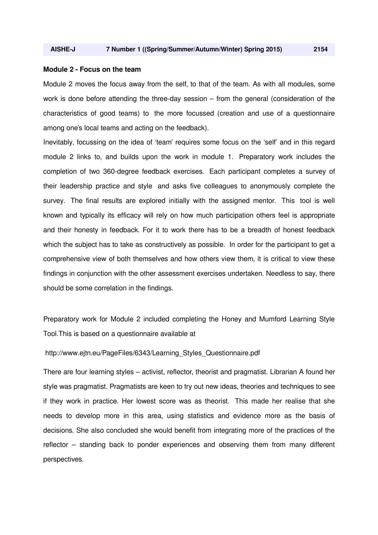#### **Module 2 - Focus on the team**

Module 2 moves the focus away from the self, to that of the team. As with all modules, some work is done before attending the three-day session – from the general (consideration of the characteristics of good teams) to the more focussed (creation and use of a questionnaire among one's local teams and acting on the feedback).

Inevitably, focussing on the idea of 'team' requires some focus on the 'self' and in this regard module 2 links to, and builds upon the work in module 1. Preparatory work includes the completion of two 360-degree feedback exercises. Each participant completes a survey of their leadership practice and style and asks five colleagues to anonymously complete the survey. The final results are explored initially with the assigned mentor. This tool is well known and typically its efficacy will rely on how much participation others feel is appropriate and their honesty in feedback. For it to work there has to be a breadth of honest feedback which the subject has to take as constructively as possible. In order for the participant to get a comprehensive view of both themselves and how others view them, it is critical to view these findings in conjunction with the other assessment exercises undertaken. Needless to say, there should be some correlation in the findings.

Preparatory work for Module 2 included completing the Honey and Mumford Learning Style Tool.This is based on a questionnaire available at

# http://www.ejtn.eu/PageFiles/6343/Learning\_Styles\_Questionnaire.pdf

There are four learning styles – activist, reflector, theorist and pragmatist. Librarian A found her style was pragmatist. Pragmatists are keen to try out new ideas, theories and techniques to see if they work in practice. Her lowest score was as theorist. This made her realise that she needs to develop more in this area, using statistics and evidence more as the basis of decisions. She also concluded she would benefit from integrating more of the practices of the reflector – standing back to ponder experiences and observing them from many different perspectives.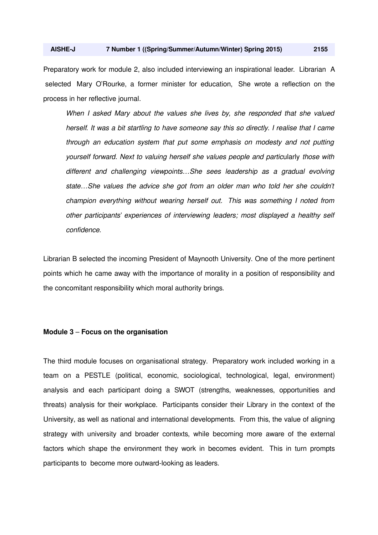Preparatory work for module 2, also included interviewing an inspirational leader. Librarian A selected Mary O'Rourke, a former minister for education, She wrote a reflection on the process in her reflective journal.

*When I asked Mary about the values she lives by, she responded that she valued herself. It was a bit startling to have someone say this so directly. I realise that I came through an education system that put some emphasis on modesty and not putting yourself forward. Next to valuing herself she values people and partic*ularly *those with different and challenging viewpoints…She sees leadership as a gradual evolving state…She values the advice she got from an older man who told her she couldn't champion everything without wearing herself out. This was something I noted from other participants' experiences of interviewing leaders; most displayed a healthy self confidence.*

Librarian B selected the incoming President of Maynooth University. One of the more pertinent points which he came away with the importance of morality in a position of responsibility and the concomitant responsibility which moral authority brings.

## **Module 3** – **Focus on the organisation**

The third module focuses on organisational strategy. Preparatory work included working in a team on a PESTLE (political, economic, sociological, technological, legal, environment) analysis and each participant doing a SWOT (strengths, weaknesses, opportunities and threats) analysis for their workplace. Participants consider their Library in the context of the University, as well as national and international developments. From this, the value of aligning strategy with university and broader contexts, while becoming more aware of the external factors which shape the environment they work in becomes evident. This in turn prompts participants to become more outward-looking as leaders.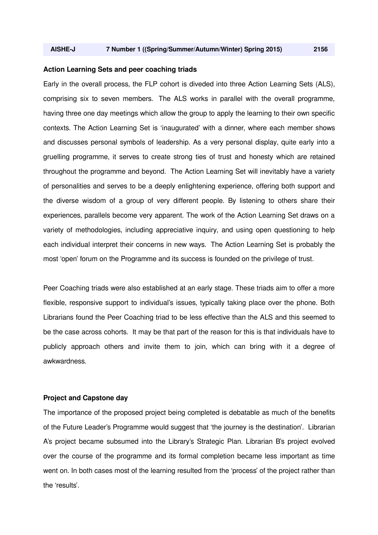## **Action Learning Sets and peer coaching triads**

Early in the overall process, the FLP cohort is diveded into three Action Learning Sets (ALS), comprising six to seven members. The ALS works in parallel with the overall programme, having three one day meetings which allow the group to apply the learning to their own specific contexts. The Action Learning Set is 'inaugurated' with a dinner, where each member shows and discusses personal symbols of leadership. As a very personal display, quite early into a gruelling programme, it serves to create strong ties of trust and honesty which are retained throughout the programme and beyond. The Action Learning Set will inevitably have a variety of personalities and serves to be a deeply enlightening experience, offering both support and the diverse wisdom of a group of very different people. By listening to others share their experiences, parallels become very apparent. The work of the Action Learning Set draws on a variety of methodologies, including appreciative inquiry, and using open questioning to help each individual interpret their concerns in new ways. The Action Learning Set is probably the most 'open' forum on the Programme and its success is founded on the privilege of trust.

Peer Coaching triads were also established at an early stage. These triads aim to offer a more flexible, responsive support to individual's issues, typically taking place over the phone. Both Librarians found the Peer Coaching triad to be less effective than the ALS and this seemed to be the case across cohorts. It may be that part of the reason for this is that individuals have to publicly approach others and invite them to join, which can bring with it a degree of awkwardness.

#### **Project and Capstone day**

The importance of the proposed project being completed is debatable as much of the benefits of the Future Leader's Programme would suggest that 'the journey is the destination'. Librarian A's project became subsumed into the Library's Strategic Plan. Librarian B's project evolved over the course of the programme and its formal completion became less important as time went on. In both cases most of the learning resulted from the 'process' of the project rather than the 'results'.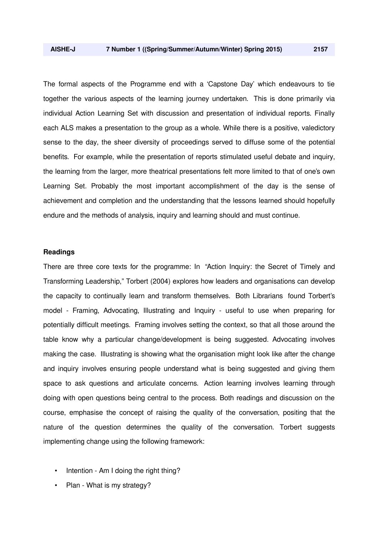The formal aspects of the Programme end with a 'Capstone Day' which endeavours to tie together the various aspects of the learning journey undertaken. This is done primarily via individual Action Learning Set with discussion and presentation of individual reports. Finally each ALS makes a presentation to the group as a whole. While there is a positive, valedictory sense to the day, the sheer diversity of proceedings served to diffuse some of the potential benefits. For example, while the presentation of reports stimulated useful debate and inquiry, the learning from the larger, more theatrical presentations felt more limited to that of one's own Learning Set. Probably the most important accomplishment of the day is the sense of achievement and completion and the understanding that the lessons learned should hopefully endure and the methods of analysis, inquiry and learning should and must continue.

#### **Readings**

There are three core texts for the programme: In "Action Inquiry: the Secret of Timely and Transforming Leadership," Torbert (2004) explores how leaders and organisations can develop the capacity to continually learn and transform themselves. Both Librarians found Torbert's model - Framing, Advocating, Illustrating and Inquiry - useful to use when preparing for potentially difficult meetings. Framing involves setting the context, so that all those around the table know why a particular change/development is being suggested. Advocating involves making the case. Illustrating is showing what the organisation might look like after the change and inquiry involves ensuring people understand what is being suggested and giving them space to ask questions and articulate concerns. Action learning involves learning through doing with open questions being central to the process. Both readings and discussion on the course, emphasise the concept of raising the quality of the conversation, positing that the nature of the question determines the quality of the conversation. Torbert suggests implementing change using the following framework:

- Intention Am I doing the right thing?
- Plan What is my strategy?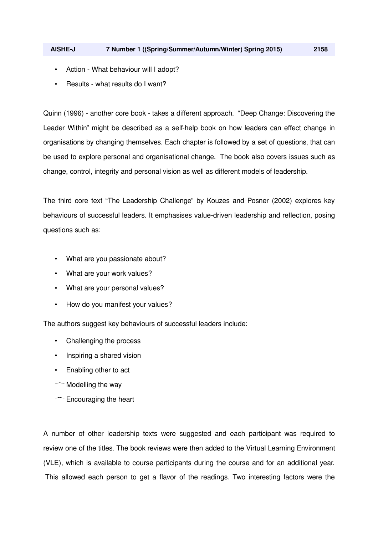- Action What behaviour will I adopt?
- Results what results do I want?

Quinn (1996) - another core book - takes a different approach. "Deep Change: Discovering the Leader Within" might be described as a self-help book on how leaders can effect change in organisations by changing themselves. Each chapter is followed by a set of questions, that can be used to explore personal and organisational change. The book also covers issues such as change, control, integrity and personal vision as well as different models of leadership.

The third core text "The Leadership Challenge" by Kouzes and Posner (2002) explores key behaviours of successful leaders. It emphasises value-driven leadership and reflection, posing questions such as:

- What are you passionate about?
- What are your work values?
- What are your personal values?
- How do you manifest your values?

The authors suggest key behaviours of successful leaders include:

- Challenging the process
- Inspiring a shared vision
- Enabling other to act
- $\sim$  Modelling the way
- $\sim$  Encouraging the heart

A number of other leadership texts were suggested and each participant was required to review one of the titles. The book reviews were then added to the Virtual Learning Environment (VLE), which is available to course participants during the course and for an additional year. This allowed each person to get a flavor of the readings. Two interesting factors were the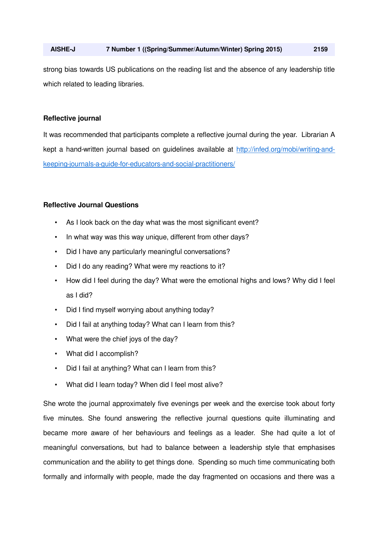strong bias towards US publications on the reading list and the absence of any leadership title which related to leading libraries.

# **Reflective journal**

It was recommended that participants complete a reflective journal during the year. Librarian A kept a hand-written journal based on guidelines available at http://infed.org/mobi/writing-andkeeping-journals-a-guide-for-educators-and-social-practitioners/

## **Reflective Journal Questions**

- As I look back on the day what was the most significant event?
- In what way was this way unique, different from other days?
- Did I have any particularly meaningful conversations?
- Did I do any reading? What were my reactions to it?
- How did I feel during the day? What were the emotional highs and lows? Why did I feel as I did?
- Did I find myself worrying about anything today?
- Did I fail at anything today? What can I learn from this?
- What were the chief joys of the day?
- What did I accomplish?
- Did I fail at anything? What can I learn from this?
- What did I learn today? When did I feel most alive?

She wrote the journal approximately five evenings per week and the exercise took about forty five minutes. She found answering the reflective journal questions quite illuminating and became more aware of her behaviours and feelings as a leader. She had quite a lot of meaningful conversations, but had to balance between a leadership style that emphasises communication and the ability to get things done. Spending so much time communicating both formally and informally with people, made the day fragmented on occasions and there was a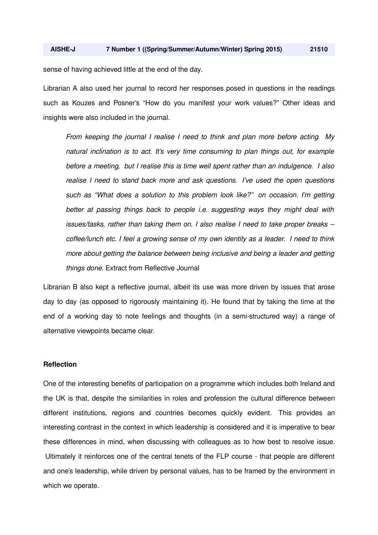sense of having achieved little at the end of the day.

Librarian A also used her journal to record her responses posed in questions in the readings such as Kouzes and Posner's "How do you manifest your work values?" Other ideas and insights were also included in the journal.

*From keeping the journal I realise I need to think and plan more before acting. My natural inclination is to act. It's very time consuming to plan things out, for example before a meeting, but I realise this is time well spent rather than an indulgence. I also realise I need to stand back more and ask questions. I've used the open questions such as "What does a solution to this problem look like?" on occasion. I'm getting better at passing things back to people i.e. suggesting ways they might deal with issues/tasks, rather than taking them on. I also realise I need to take proper breaks – coffee/lunch etc. I feel a growing sense of my own identity as a leader. I need to think more about getting the balance between being inclusive and being a leader and getting things done.* Extract from Reflective Journal

Librarian B also kept a reflective journal, albeit its use was more driven by issues that arose day to day (as opposed to rigorously maintaining it). He found that by taking the time at the end of a working day to note feelings and thoughts (in a semi-structured way) a range of alternative viewpoints became clear.

## **Reflection**

One of the interesting benefits of participation on a programme which includes both Ireland and the UK is that, despite the similarities in roles and profession the cultural difference between different institutions, regions and countries becomes quickly evident. This provides an interesting contrast in the context in which leadership is considered and it is imperative to bear these differences in mind, when discussing with colleagues as to how best to resolve issue. Ultimately it reinforces one of the central tenets of the FLP course - that people are different and one's leadership, while driven by personal values, has to be framed by the environment in which we operate.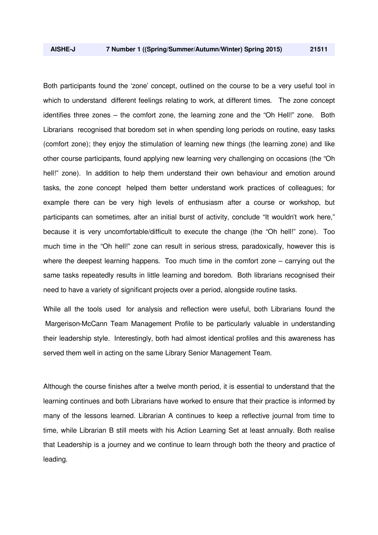Both participants found the 'zone' concept, outlined on the course to be a very useful tool in which to understand different feelings relating to work, at different times. The zone concept identifies three zones – the comfort zone, the learning zone and the "Oh Hell!" zone. Both Librarians recognised that boredom set in when spending long periods on routine, easy tasks (comfort zone); they enjoy the stimulation of learning new things (the learning zone) and like other course participants, found applying new learning very challenging on occasions (the "Oh hell!" zone). In addition to help them understand their own behaviour and emotion around tasks, the zone concept helped them better understand work practices of colleagues; for example there can be very high levels of enthusiasm after a course or workshop, but participants can sometimes, after an initial burst of activity, conclude "It wouldn't work here," because it is very uncomfortable/difficult to execute the change (the "Oh hell!" zone). Too much time in the "Oh hell!" zone can result in serious stress, paradoxically, however this is where the deepest learning happens. Too much time in the comfort zone – carrying out the same tasks repeatedly results in little learning and boredom. Both librarians recognised their

While all the tools used for analysis and reflection were useful, both Librarians found the Margerison-McCann Team Management Profile to be particularly valuable in understanding their leadership style. Interestingly, both had almost identical profiles and this awareness has served them well in acting on the same Library Senior Management Team.

need to have a variety of significant projects over a period, alongside routine tasks.

Although the course finishes after a twelve month period, it is essential to understand that the learning continues and both Librarians have worked to ensure that their practice is informed by many of the lessons learned. Librarian A continues to keep a reflective journal from time to time, while Librarian B still meets with his Action Learning Set at least annually. Both realise that Leadership is a journey and we continue to learn through both the theory and practice of leading.